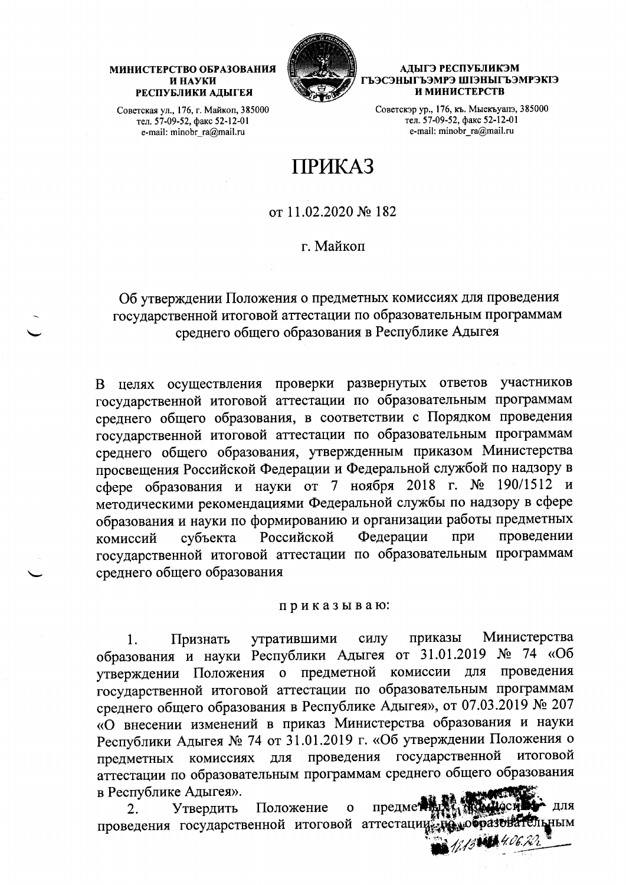#### МИНИСТЕРСТВО ОБРАЗОВАНИЯ И НАУКИ РЕСПУБЛИКИ АДЫГЕЯ

АЛЫГЭ РЕСПУБЛИКЭМ ГЪЭСЭНЫГЪЭМРЭ ШІЭНЫГЪЭМРЭКІЭ И МИНИСТЕРСТВ

Советская ул., 176, г. Майкоп, 385000 тел. 57-09-52, факс 52-12-01 e-mail: minobr\_ra@mail.ru

Советскэр ур., 176, къ. Мыекъуапэ, 385000 тел. 57-09-52, факс 52-12-01 e-mail: minobr\_ra@mail.ru

# **ПРИКАЗ**

от 11.02.2020 № 182

г. Майкоп

# Об утверждении Положения о предметных комиссиях для проведения государственной итоговой аттестации по образовательным программам среднего общего образования в Республике Адыгея

В целях осуществления проверки развернутых ответов участников государственной итоговой аттестации по образовательным программам среднего общего образования, в соответствии с Порядком проведения государственной итоговой аттестации по образовательным программам среднего общего образования, утвержденным приказом Министерства просвещения Российской Федерации и Федеральной службой по надзору в сфере образования и науки от 7 ноября 2018 г. № 190/1512 и методическими рекомендациями Федеральной службы по надзору в сфере образования и науки по формированию и организации работы предметных Федерации Российской при проведении субъекта комиссий государственной итоговой аттестации по образовательным программам среднего общего образования

#### приказываю:

Министерства утратившими силу приказы  $\mathbf{1}$ . Признать образования и науки Республики Адыгея от 31.01.2019 No 74 «06 утверждении Положения о предметной комиссии для проведения государственной итоговой аттестации по образовательным программам среднего общего образования в Республике Адыгея», от 07.03.2019 № 207 «О внесении изменений в приказ Министерства образования и науки Республики Адыгея № 74 от 31.01.2019 г. «Об утверждении Положения о проведения государственной итоговой комиссиях предметных ДЛЯ аттестации по образовательным программам среднего общего образования в Республике Адыгея».

Положение предмет 2. Утвердить  $\mathbf{o}$ проведения государственной итоговой аттестации **ЬНЫМ**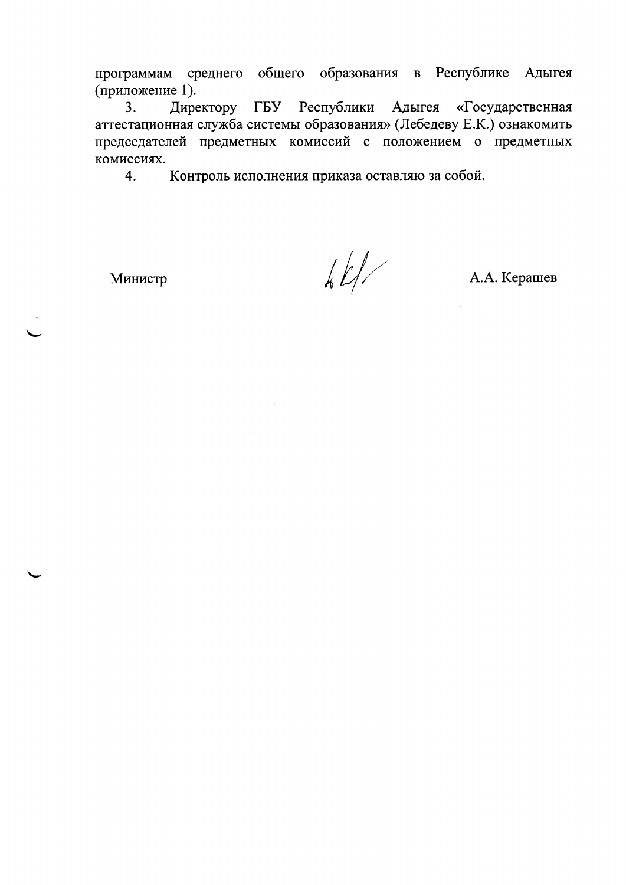программам среднего общего образования в Республике Адыгея (приложение 1).

Директору ГБУ Республики Адыгея «Государственная  $3.$ аттестационная служба системы образования» (Лебедеву Е.К.) ознакомить председателей предметных комиссий с положением о предметных комиссиях.

Контроль исполнения приказа оставляю за собой. 4.

Министр

 $\frac{1}{2}$ 

А.А. Керашев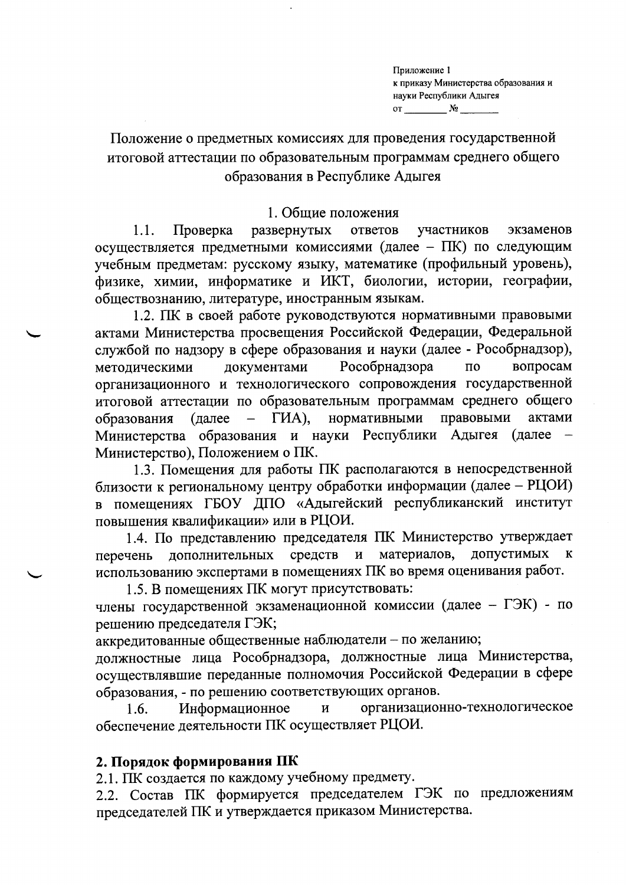Приложение 1 к приказу Министерства образования и науки Республики Адыгея  $\text{or} \quad \mathbb{N}_2$ 

Положение о предметных комиссиях для проведения государственной итоговой аттестации по образовательным программам среднего общего образования в Республике Адыгея

#### 1. Общие положения

развернутых  $1.1.$ Проверка ответов участников экзаменов осуществляется предметными комиссиями (далее - ПК) по следующим учебным предметам: русскому языку, математике (профильный уровень), физике, химии, информатике и ИКТ, биологии, истории, географии, обществознанию, литературе, иностранным языкам.

1.2. ПК в своей работе руководствуются нормативными правовыми актами Министерства просвещения Российской Федерации, Федеральной службой по надзору в сфере образования и науки (далее - Рособрнадзор), вопросам документами Рособрнадзора методическими  $\overline{a}$ организационного и технологического сопровождения государственной итоговой аттестации по образовательным программам среднего общего  $\Gamma$ *HA*), нормативными правовыми образования (далее актами Министерства образования и науки Республики Адыгея (далее Министерство), Положением о ПК.

1.3. Помещения для работы ПК располагаются в непосредственной близости к региональному центру обработки информации (далее - РЦОИ) в помещениях ГБОУ ДПО «Адыгейский республиканский институт повышения квалификации» или в РЦОИ.

1.4. По представлению председателя ПК Министерство утверждает допустимых средств материалов, дополнительных  $\mathbf{H}$  $\bf K$ перечень использованию экспертами в помещениях ПК во время оценивания работ.

1.5. В помещениях ПК могут присутствовать:

члены государственной экзаменационной комиссии (далее - ГЭК) - по решению председателя ГЭК;

аккредитованные общественные наблюдатели - по желанию;

должностные лица Рособрнадзора, должностные лица Министерства, осуществлявшие переданные полномочия Российской Федерации в сфере образования, - по решению соответствующих органов.

организационно-технологическое Информационное  $\overline{M}$  $1.6.$ обеспечение деятельности ПК осуществляет РЦОИ.

## 2. Порядок формирования ПК

2.1. ПК создается по каждому учебному предмету.

2.2. Состав ПК формируется председателем ГЭК по предложениям председателей ПК и утверждается приказом Министерства.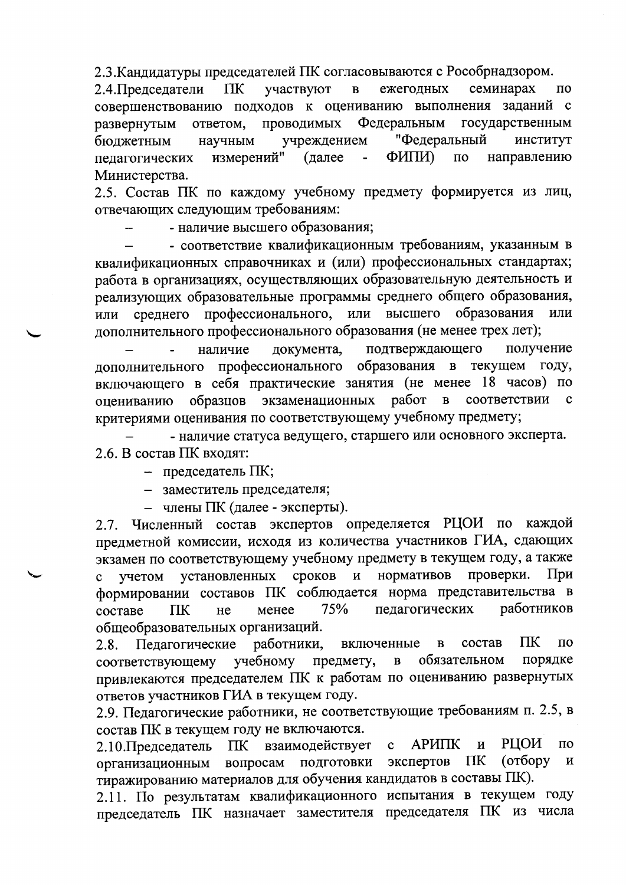2.3. Кандидатуры председателей ПК согласовываются с Рособрнадзором.

семинарах 2.4. Председатели **TIK** участвуют ежегодных  $\mathbf{B}$  $\overline{10}$ совершенствованию подходов к оцениванию выполнения заданий  $\mathbf{c}$ проводимых Федеральным государственным развернутым ответом, "Федеральный институт учреждением бюджетным научным ФИПИ)  $\overline{a}$ направлению измерений" (далее педагогических Министерства.

2.5. Состав ПК по каждому учебному предмету формируется из лиц, отвечающих следующим требованиям:

- наличие высшего образования;

- соответствие квалификационным требованиям, указанным в квалификационных справочниках и (или) профессиональных стандартах; работа в организациях, осуществляющих образовательную деятельность и реализующих образовательные программы среднего общего образования, профессионального, или высшего образования или среднего ИЛИ дополнительного профессионального образования (не менее трех лет);

подтверждающего получение наличие документа, профессионального образования в текущем году, лополнительного включающего в себя практические занятия (не менее 18 часов) по экзаменационных работ  $\overline{B}$ соответствии  $\mathbf{c}$ образцов оцениванию критериями оценивания по соответствующему учебному предмету;

- наличие статуса ведущего, старшего или основного эксперта. 2.6. В состав ПК входят:

- председатель ПК;

- заместитель председателя;

- члены ПК (далее - эксперты).

2.7. Численный состав экспертов определяется РЦОИ по каждой предметной комиссии, исходя из количества участников ГИА, сдающих экзамен по соответствующему учебному предмету в текущем году, а также сроков нормативов проверки. При  $\mathbf{M}$ учетом установленных  $\mathbf c$ формировании составов ПК соблюдается норма представительства в работников 75% педагогических ПK менее составе He общеобразовательных организаций.

ПК работники, состав  $\overline{10}$ Педагогические включенные  $\overline{B}$  $2.8.$ обязательном порядке соответствующему учебному предмету,  $\, {\bf B}$ привлекаются председателем ПК к работам по оцениванию развернутых ответов участников ГИА в текущем году.

2.9. Педагогические работники, не соответствующие требованиям п. 2.5, в состав ПК в текущем году не включаются.

**РЦОИ АРИПК**  $\overline{M}$  $\overline{10}$ 2.10. Председатель ПK взаимодействует  $\mathbf{C}$ (отбору подготовки экспертов ПК И вопросам организационным тиражированию материалов для обучения кандидатов в составы ПК).

2.11. По результатам квалификационного испытания в текущем году председатель ПК назначает заместителя председателя ПК из числа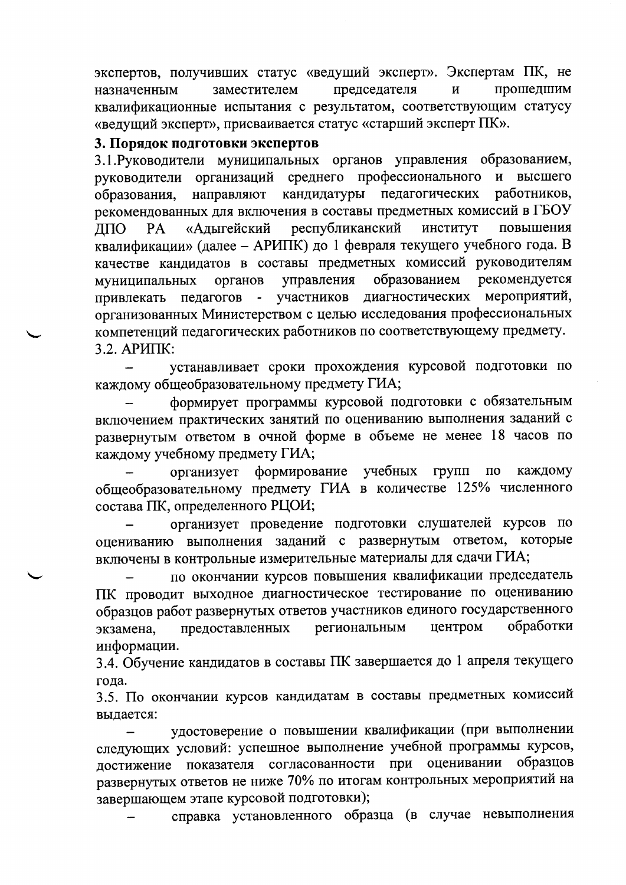экспертов, получивших статус «ведущий эксперт». Экспертам ПК, не председателя прошедшим назначенным заместителем  $\mathbf{M}$ квалификационные испытания с результатом, соответствующим статусу «ведущий эксперт», присваивается статус «старший эксперт ПК».

#### 3. Порядок подготовки экспертов

3.1. Руководители муниципальных органов управления образованием, руководители организаций среднего профессионального и высшего кандидатуры педагогических направляют работников, образования. рекомендованных для включения в составы предметных комиссий в ГБОУ республиканский «Адыгейский ИНСТИТУТ повышения ДПО PA. квалификации» (далее - АРИПК) до 1 февраля текущего учебного года. В качестве кандидатов в составы предметных комиссий руководителям управления образованием рекомендуется муниципальных органов участников диагностических мероприятий, педагогов привлекать  $\sim$ организованных Министерством с целью исследования профессиональных компетенций педагогических работников по соответствующему предмету. 3.2. АРИПК:

устанавливает сроки прохождения курсовой подготовки по каждому общеобразовательному предмету ГИА;

формирует программы курсовой подготовки с обязательным включением практических занятий по оцениванию выполнения заданий с развернутым ответом в очной форме в объеме не менее 18 часов по каждому учебному предмету ГИА;

формирование учебных каждому организует групп  $\Pi$ O общеобразовательному предмету ГИА в количестве 125% численного состава ПК, определенного РЦОИ;

организует проведение подготовки слушателей курсов по оцениванию выполнения заданий с развернутым ответом, которые включены в контрольные измерительные материалы для сдачи ГИА;

по окончании курсов повышения квалификации председатель ПК проводит выходное диагностическое тестирование по оцениванию образцов работ развернутых ответов участников единого государственного обработки предоставленных региональным центром экзамена, информации.

3.4. Обучение кандидатов в составы ПК завершается до 1 апреля текущего года.

3.5. По окончании курсов кандидатам в составы предметных комиссий выдается:

удостоверение о повышении квалификации (при выполнении следующих условий: успешное выполнение учебной программы курсов, достижение показателя согласованности при оценивании образцов развернутых ответов не ниже 70% по итогам контрольных мероприятий на завершающем этапе курсовой подготовки);

справка установленного образца (в случае невыполнения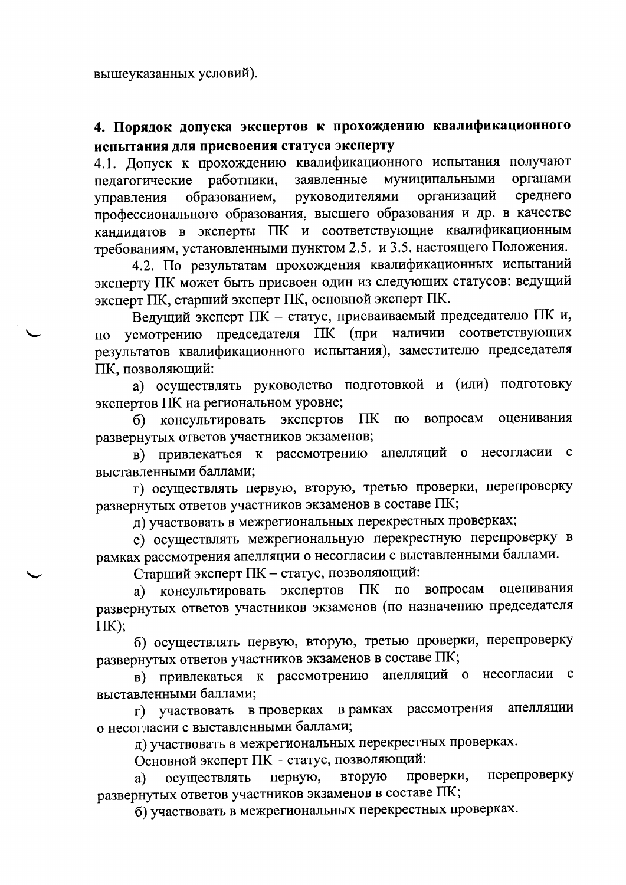# 4. Порядок допуска экспертов к прохождению квалификационного испытания для присвоения статуса эксперту

4.1. Допуск к прохождению квалификационного испытания получают муниципальными органами заявленные пелагогические работники, организаций среднего образованием, руководителями управления профессионального образования, высшего образования и др. в качестве кандидатов в эксперты ПК и соответствующие квалификационным требованиям, установленными пунктом 2.5. и 3.5. настоящего Положения.

4.2. По результатам прохождения квалификационных испытаний эксперту ПК может быть присвоен один из следующих статусов: ведущий эксперт ПК, старший эксперт ПК, основной эксперт ПК.

Ведущий эксперт ПК - статус, присваиваемый председателю ПК и, усмотрению председателя ПК (при наличии соответствующих  $\Pi$ <sup>O</sup> результатов квалификационного испытания), заместителю председателя ПК, позволяющий:

а) осуществлять руководство подготовкой и (или) подготовку экспертов ПК на региональном уровне;

вопросам оценивания б) консультировать экспертов  $\Pi$ K  $\mathbf{u}$ развернутых ответов участников экзаменов;

в) привлекаться к рассмотрению апелляций о несогласии с выставленными баллами;

г) осуществлять первую, вторую, третью проверки, перепроверку развернутых ответов участников экзаменов в составе ПК;

д) участвовать в межрегиональных перекрестных проверках;

е) осуществлять межрегиональную перекрестную перепроверку в рамках рассмотрения апелляции о несогласии с выставленными баллами.

Старший эксперт ПК - статус, позволяющий:

оценивания а) консультировать экспертов ПК  $\Pi$ <sup>O</sup> вопросам развернутых ответов участников экзаменов (по назначению председателя  $\Pi K$ );

б) осуществлять первую, вторую, третью проверки, перепроверку развернутых ответов участников экзаменов в составе ПК;

в) привлекаться к рассмотрению апелляций о несогласии с выставленными баллами;

в рамках рассмотрения апелляции  $\Gamma$ ) участвовать в проверках о несогласии с выставленными баллами;

д) участвовать в межрегиональных перекрестных проверках.

Основной эксперт ПК - статус, позволяющий:

проверки, перепроверку вторую осуществлять первую, a) развернутых ответов участников экзаменов в составе ПК;

б) участвовать в межрегиональных перекрестных проверках.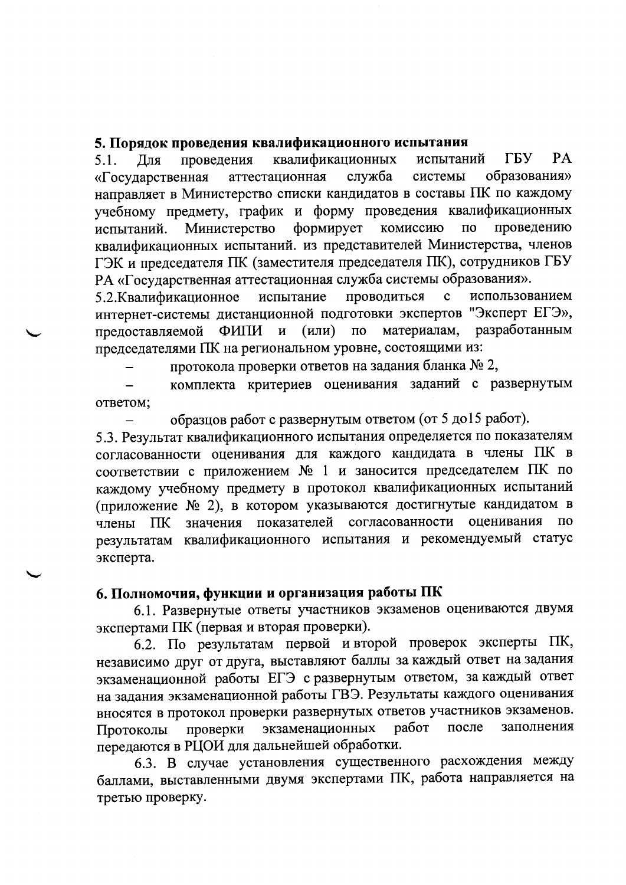### 5. Порядок проведения квалификационного испытания

 $PA$ квалификационных испытаний ГБУ проведения  $5.1.$ Лля образования» аттестационная служба системы «Государственная направляет в Министерство списки кандидатов в составы ПК по каждому учебному предмету, график и форму проведения квалификационных комиссию Министерство формирует  $\overline{10}$ проведению испытаний. квалификационных испытаний. из представителей Министерства, членов ГЭК и председателя ПК (заместителя председателя ПК), сотрудников ГБУ РА «Государственная аттестационная служба системы образования».

использованием 5.2. Квалификационное испытание проводиться  $\mathbf{c}$ интернет-системы дистанционной подготовки экспертов "Эксперт ЕГЭ», разработанным ФИПИ и  $(MIM)$ материалам, предоставляемой  $\Pi$ O председателями ПК на региональном уровне, состоящими из:

протокола проверки ответов на задания бланка № 2,

комплекта критериев оценивания заданий с развернутым ответом;

образцов работ с развернутым ответом (от 5 до 15 работ).

5.3. Результат квалификационного испытания определяется по показателям согласованности оценивания для каждого кандидата в члены ПК в соответствии с приложением № 1 и заносится председателем ПК по каждому учебному предмету в протокол квалификационных испытаний (приложение № 2), в котором указываются достигнутые кандидатом в значения показателей согласованности оценивания  $\overline{a}$ члены  $\Pi$ K результатам квалификационного испытания и рекомендуемый статус эксперта.

## 6. Полномочия, функции и организация работы ПК

6.1. Развернутые ответы участников экзаменов оцениваются двумя экспертами ПК (первая и вторая проверки).

6.2. По результатам первой и второй проверок эксперты ПК, независимо друг от друга, выставляют баллы за каждый ответ на задания экзаменационной работы ЕГЭ с развернутым ответом, за каждый ответ на задания экзаменационной работы ГВЭ. Результаты каждого оценивания вносятся в протокол проверки развернутых ответов участников экзаменов. работ после заполнения экзаменационных проверки Протоколы передаются в РЦОИ для дальнейшей обработки.

6.3. В случае установления существенного расхождения между баллами, выставленными двумя экспертами ПК, работа направляется на третью проверку.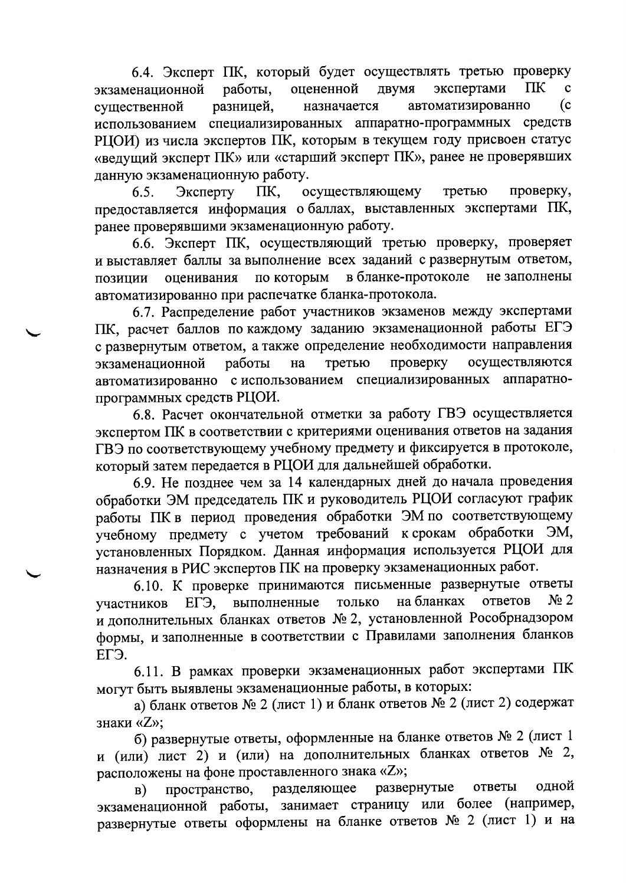6.4. Эксперт ПК, который будет осуществлять третью проверку экспертами **TIK** работы, оцененной двумя  $\mathbf{c}$ экзаменационной  $(c)$ разницей, назначается автоматизированно существенной использованием специализированных аппаратно-программных средств РЦОИ) из числа экспертов ПК, которым в текущем году присвоен статус «ведущий эксперт ПК» или «старший эксперт ПК», ранее не проверявших данную экзаменационную работу.

TIK. осуществляющему третью проверку,  $6.5.$ Эксперту предоставляется информация о баллах, выставленных экспертами ПК, ранее проверявшими экзаменационную работу.

6.6. Эксперт ПК, осуществляющий третью проверку, проверяет и выставляет баллы за выполнение всех заданий с развернутым ответом, по которым в бланке-протоколе не заполнены оценивания позиции автоматизированно при распечатке бланка-протокола.

6.7. Распределение работ участников экзаменов между экспертами ПК, расчет баллов по каждому заданию экзаменационной работы ЕГЭ с развернутым ответом, а также определение необходимости направления третью проверку осуществляются экзаменационной работы на автоматизированно с использованием специализированных аппаратнопрограммных средств РЦОИ.

6.8. Расчет окончательной отметки за работу ГВЭ осуществляется экспертом ПК в соответствии с критериями оценивания ответов на задания ГВЭ по соответствующему учебному предмету и фиксируется в протоколе, который затем передается в РЦОИ для дальнейшей обработки.

6.9. Не позднее чем за 14 календарных дней до начала проведения обработки ЭМ председатель ПК и руководитель РЦОИ согласуют график работы ПК в период проведения обработки ЭМ по соответствующему учебному предмету с учетом требований к срокам обработки ЭМ, установленных Порядком. Данная информация используется РЦОИ для назначения в РИС экспертов ПК на проверку экзаменационных работ.

6.10. К проверке принимаются письменные развернутые ответы  $N<sub>2</sub>$ ЕГЭ, выполненные на бланках ответов только участников и дополнительных бланках ответов № 2, установленной Рособрнадзором формы, и заполненные в соответствии с Правилами заполнения бланков ЕГЭ.

6.11. В рамках проверки экзаменационных работ экспертами ПК могут быть выявлены экзаменационные работы, в которых:

а) бланк ответов № 2 (лист 1) и бланк ответов № 2 (лист 2) содержат знаки «Z»:

б) развернутые ответы, оформленные на бланке ответов № 2 (лист 1 и (или) лист 2) и (или) на дополнительных бланках ответов № 2, расположены на фоне проставленного знака «Z»;

развернутые ответы одной разделяющее пространство, **B**) экзаменационной работы, занимает страницу или более (например, развернутые ответы оформлены на бланке ответов № 2 (лист 1) и на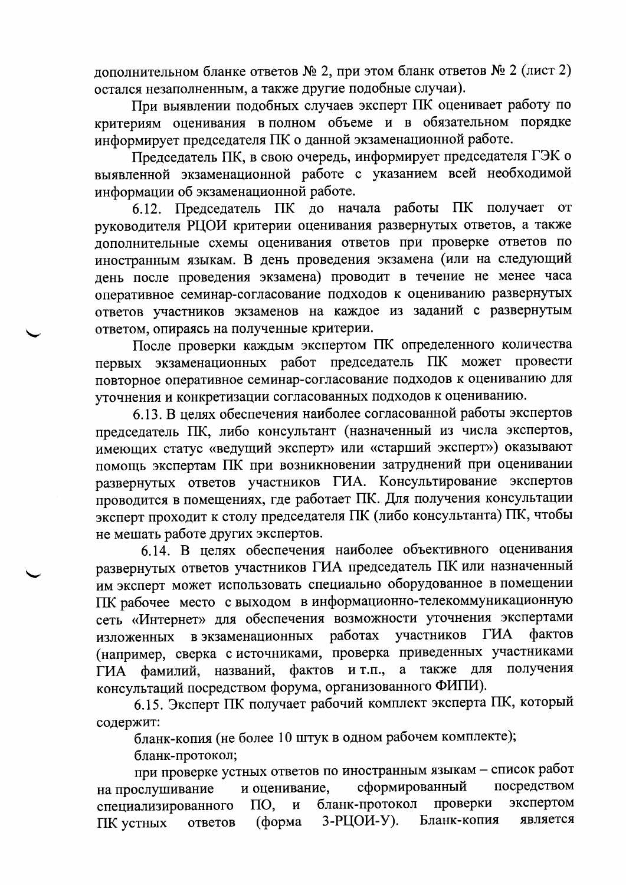дополнительном бланке ответов  $\mathbb{N}^2$  2, при этом бланк ответов  $\mathbb{N}^2$  2 (лист 2) остался незаполненным, а также другие подобные случаи).

При выявлении подобных случаев эксперт ПК оценивает работу по критериям оценивания в полном объеме и в обязательном порядке информирует председателя ПК о данной экзаменационной работе.

Председатель ПК, в свою очередь, информирует председателя ГЭК о выявленной экзаменационной работе с указанием всей необходимой информации об экзаменационной работе.

6.12. Председатель ПК до начала работы ПК получает от руководителя РЦОИ критерии оценивания развернутых ответов, а также дополнительные схемы оценивания ответов при проверке ответов по иностранным языкам. В день проведения экзамена (или на следующий день после проведения экзамена) проводит в течение не менее часа оперативное семинар-согласование подходов к оцениванию развернутых ответов участников экзаменов на каждое из заданий с развернутым ответом, опираясь на полученные критерии.

После проверки каждым экспертом ПК определенного количества первых экзаменационных работ председатель ПК может провести повторное оперативное семинар-согласование подходов к оцениванию для уточнения и конкретизации согласованных подходов к оцениванию.

6.13. В целях обеспечения наиболее согласованной работы экспертов председатель ПК, либо консультант (назначенный из числа экспертов, имеющих статус «ведущий эксперт» или «старший эксперт») оказывают помощь экспертам ПК при возникновении затруднений при оценивании развернутых ответов участников ГИА. Консультирование экспертов проводится в помещениях, где работает ПК. Для получения консультации эксперт проходит к столу председателя ПК (либо консультанта) ПК, чтобы не мешать работе других экспертов.

6.14. В целях обеспечения наиболее объективного оценивания развернутых ответов участников ГИА председатель ПК или назначенный им эксперт может использовать специально оборудованное в помещении ПК рабочее место с выходом в информационно-телекоммуникационную сеть «Интернет» для обеспечения возможности уточнения экспертами участников ГИА фактов в экзаменационных работах изложенных (например, сверка с источниками, проверка приведенных участниками для получения а также фактов и т.п., ГИА фамилий, названий, консультаций посредством форума, организованного ФИПИ).

6.15. Эксперт ПК получает рабочий комплект эксперта ПК, который содержит:

бланк-копия (не более 10 штук в одном рабочем комплекте);

бланк-протокол;

при проверке устных ответов по иностранным языкам - список работ посредством сформированный на прослушивание и оценивание, проверки экспертом бланк-протокол специализированного  $\Pi$ O,  $\mathbf{M}$ 3-РЦОИ-У). Бланк-копия является (форма ПК устных ответов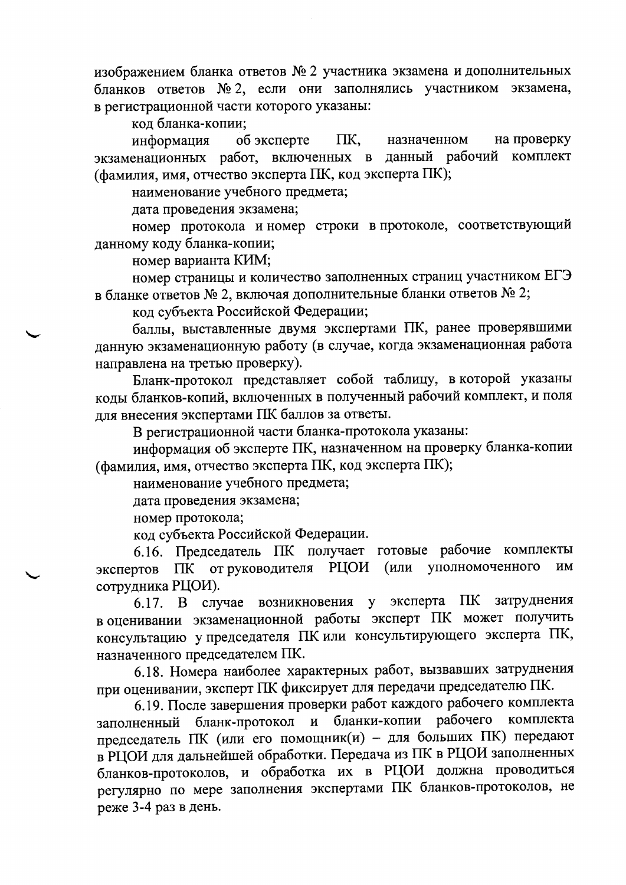изображением бланка ответов № 2 участника экзамена и дополнительных бланков ответов № 2, если они заполнялись участником экзамена, в регистрационной части которого указаны:

код бланка-копии;

об эксперте назначенном на проверку информация ПK, экзаменационных работ, включенных в комплект данный рабочий (фамилия, имя, отчество эксперта ПК, код эксперта ПК);

наименование учебного предмета;

дата проведения экзамена;

номер протокола и номер строки в протоколе, соответствующий данному коду бланка-копии;

номер варианта КИМ;

номер страницы и количество заполненных страниц участником ЕГЭ в бланке ответов № 2, включая дополнительные бланки ответов № 2;

код субъекта Российской Федерации;

баллы, выставленные двумя экспертами ПК, ранее проверявшими данную экзаменационную работу (в случае, когда экзаменационная работа направлена на третью проверку).

Бланк-протокол представляет собой таблицу, в которой указаны коды бланков-копий, включенных в полученный рабочий комплект, и поля для внесения экспертами ПК баллов за ответы.

В регистрационной части бланка-протокола указаны:

информация об эксперте ПК, назначенном на проверку бланка-копии (фамилия, имя, отчество эксперта ПК, код эксперта ПК);

наименование учебного предмета;

дата проведения экзамена;

номер протокола;

код субъекта Российской Федерации.

6.16. Председатель ПК получает готовые рабочие комплекты ПК от руководителя РЦОИ (или уполномоченного **HM** экспертов сотрудника РЦОИ).

6.17. В случае возникновения у эксперта ПК затруднения в оценивании экзаменационной работы эксперт ПК может получить консультацию у председателя ПК или консультирующего эксперта ПК, назначенного председателем ПК.

6.18. Номера наиболее характерных работ, вызвавших затруднения при оценивании, эксперт ПК фиксирует для передачи председателю ПК.

6.19. После завершения проверки работ каждого рабочего комплекта бланк-протокол и бланки-копии рабочего комплекта заполненный председатель ПК (или его помощник(и) - для больших ПК) передают в РЦОИ для дальнейшей обработки. Передача из ПК в РЦОИ заполненных бланков-протоколов, и обработка их в РЦОИ должна проводиться регулярно по мере заполнения экспертами ПК бланков-протоколов, не реже 3-4 раз в день.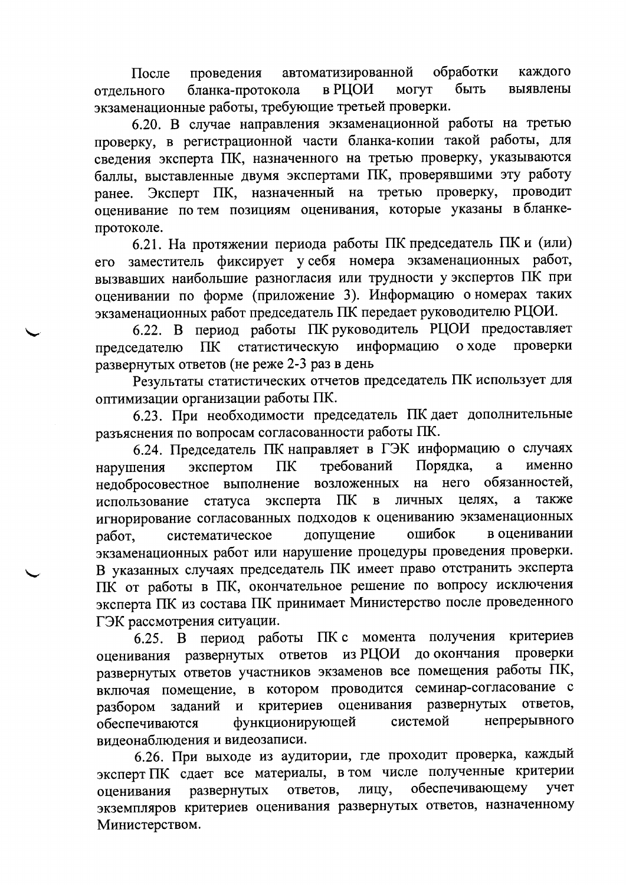обработки автоматизированной каждого проведения После быть в РЦОИ **MOTYT** бланка-протокола выявлены отлельного экзаменационные работы, требующие третьей проверки.

6.20. В случае направления экзаменационной работы на третью проверку, в регистрационной части бланка-копии такой работы, для сведения эксперта ПК, назначенного на третью проверку, указываются баллы, выставленные двумя экспертами ПК, проверявшими эту работу Эксперт ПК, назначенный на третью проверку, проводит ранее. оценивание по тем позициям оценивания, которые указаны в бланкепротоколе.

6.21. На протяжении периода работы ПК председатель ПК и (или) заместитель фиксирует у себя номера экзаменационных работ,  $ero$ вызвавших наибольшие разногласия или трудности у экспертов ПК при оценивании по форме (приложение 3). Информацию о номерах таких экзаменационных работ председатель ПК передает руководителю РЦОИ.

6.22. В период работы ПК руководитель РЦОИ предоставляет информацию о ходе проверки статистическую  $\Pi$ K председателю развернутых ответов (не реже 2-3 раз в день

Результаты статистических отчетов председатель ПК использует для оптимизации организации работы ПК.

6.23. При необходимости председатель ПК дает дополнительные разъяснения по вопросам согласованности работы ПК.

6.24. Председатель ПК направляет в ГЭК информацию о случаях экспертом  $\Pi$ K требований Порядка, a именно нарушения обязанностей. недобросовестное выполнение возложенных на него также эксперта ПК  $\, {\bf B}$ личных целях, a использование статуса игнорирование согласованных подходов к оцениванию экзаменационных систематическое допущение ошибок в оценивании работ. экзаменационных работ или нарушение процедуры проведения проверки. В указанных случаях председатель ПК имеет право отстранить эксперта ПК от работы в ПК, окончательное решение по вопросу исключения эксперта ПК из состава ПК принимает Министерство после проведенного ГЭК рассмотрения ситуации.

6.25. В период работы ПК с момента получения критериев оценивания развернутых ответов из РЦОИ до окончания проверки развернутых ответов участников экзаменов все помещения работы ПК, включая помещение, в котором проводится семинар-согласование с оценивания развернутых ответов, и критериев разбором заданий непрерывного системой обеспечиваются функционирующей видеонаблюдения и видеозаписи.

6.26. При выходе из аудитории, где проходит проверка, каждый эксперт ПК сдает все материалы, в том числе полученные критерии обеспечивающему учет лицу, развернутых ответов, оценивания экземпляров критериев оценивания развернутых ответов, назначенному Министерством.